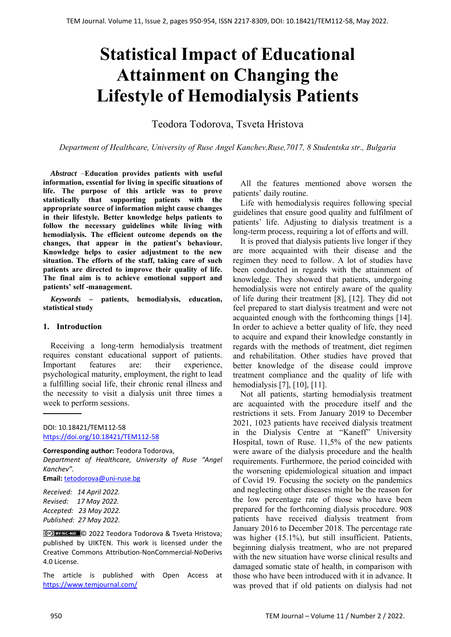# **Statistical Impact of Educational Attainment on Changing the Lifestyle of Hemodialysis Patients**

Teodora Todorova, Tsveta Hristova

*Department of Healthcare, University of Ruse Angel Kanchev,Ruse,7017, 8 Studentska str., Bulgaria* 

*Abstract –***Education provides patients with useful information, essential for living in specific situations of life. The purpose of this article was to prove statistically that supporting patients with the appropriate source of information might cause changes in their lifestyle. Better knowledge helps patients to follow the necessary guidelines while living with hemodialysis. The efficient outcome depends on the changes, that appear in the patient's behaviour. Knowledge helps to easier adjustment to the new situation. The efforts of the staff, taking care of such patients are directed to improve their quality of life. The final aim is to achieve emotional support and patients' self -management.** 

*Keywords –* **patients, hemodialysis, education, statistical study** 

### **1. Introduction**

Receiving a long-term hemodialysis treatment requires constant educational support of patients. Important features are: their experience, psychological maturity, employment, the right to lead a fulfilling social life, their chronic renal illness and the necessity to visit a dialysis unit three times a week to perform sessions.

**Corresponding author:** Teodora Todorova, *Department of Healthcare, University of Ruse "Angel Kanchev".*  **Email:** tetodorova@uni‐ruse.bg

*Received: 14 April 2022. Revised: 17 May 2022. Accepted: 23 May 2022. Published: 27 May 2022.* 

© 2022 Teodora Todorova & Tsveta Hristova; published by UIKTEN. This work is licensed under the Creative Commons Attribution‐NonCommercial‐NoDerivs 4.0 License.

The article is published with Open Access at https://www.temjournal.com/

All the features mentioned above worsen the patients' daily routine.

Life with hemodialysis requires following special guidelines that ensure good quality and fulfilment of patients' life. Adjusting to dialysis treatment is a long-term process, requiring a lot of efforts and will.

It is proved that dialysis patients live longer if they are more acquainted with their disease and the regimen they need to follow. A lot of studies have been conducted in regards with the attainment of knowledge. They showed that patients, undergoing hemodialysis were not entirely aware of the quality of life during their treatment [8], [12]. They did not feel prepared to start dialysis treatment and were not acquainted enough with the forthcoming things [14]. In order to achieve a better quality of life, they need to acquire and expand their knowledge constantly in regards with the methods of treatment, diet regimen and rehabilitation. Other studies have proved that better knowledge of the disease could improve treatment compliance and the quality of life with hemodialysis [7], [10], [11].

Not all patients, starting hemodialysis treatment are acquainted with the procedure itself and the restrictions it sets. From January 2019 to December 2021, 1023 patients have received dialysis treatment in the Dialysis Centre at "Kaneff" University Hospital, town of Ruse. 11,5% of the new patients were aware of the dialysis procedure and the health requirements. Furthermore, the period coincided with the worsening epidemiological situation and impact of Covid 19. Focusing the society on the pandemics and neglecting other diseases might be the reason for the low percentage rate of those who have been prepared for the forthcoming dialysis procedure. 908 patients have received dialysis treatment from January 2016 to December 2018. The percentage rate was higher (15.1%), but still insufficient. Patients, beginning dialysis treatment, who are not prepared with the new situation have worse clinical results and damaged somatic state of health, in comparison with those who have been introduced with it in advance. It was proved that if old patients on dialysis had not

DOI: 10.18421/TEM112-58 [https://doi.org/10.18421/TEM112](https://doi.org/10.18421/TEM112-58)-58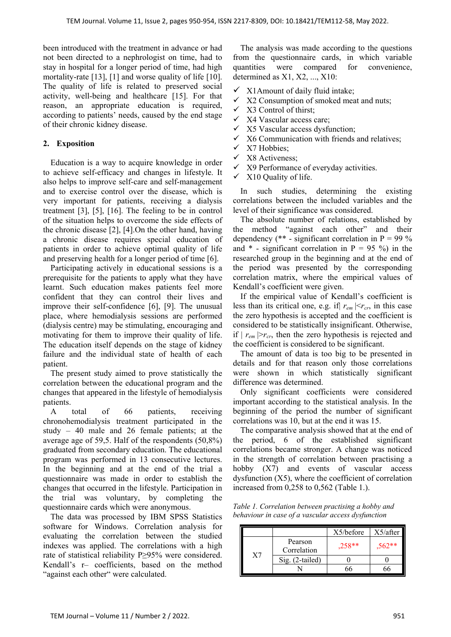been introduced with the treatment in advance or had not been directed to a nephrologist on time, had to stay in hospital for a longer period of time, had high mortality-rate [13], [1] and worse quality of life [10]. The quality of life is related to preserved social activity, well-being and healthcare [15]. For that reason, an appropriate education is required, according to patients' needs, caused by the end stage of their chronic kidney disease.

## **2. Exposition**

Education is a way to acquire knowledge in order to achieve self-efficacy and changes in lifestyle. It also helps to improve self-care and self-management and to exercise control over the disease, which is very important for patients, receiving a dialysis treatment [3], [5], [16]. The feeling to be in control of the situation helps to overcome the side effects of the chronic disease [2], [4].On the other hand, having a chronic disease requires special education of patients in order to achieve optimal quality of life and preserving health for a longer period of time [6].

Participating actively in educational sessions is a prerequisite for the patients to apply what they have learnt. Such education makes patients feel more confident that they can control their lives and improve their self-confidence [6], [9]. The unusual place, where hemodialysis sessions are performed (dialysis centre) may be stimulating, encouraging and motivating for them to improve their quality of life. The education itself depends on the stage of kidney failure and the individual state of health of each patient.

The present study aimed to prove statistically the correlation between the educational program and the changes that appeared in the lifestyle of hemodialysis patients.

A total of 66 patients, receiving chronohemodialysis treatment participated in the study – 40 male and 26 female patients; at the average age of 59,5. Half of the respondents (50,8%) graduated from secondary education. The educational program was performed in 13 consecutive lectures. In the beginning and at the end of the trial a questionnaire was made in order to establish the changes that occurred in the lifestyle. Participation in the trial was voluntary, by completing the questionnaire cards which were anonymous.

The data was processed by IBM SPSS Statistics software for Windows. Correlation analysis for evaluating the correlation between the studied indexes was applied. The correlations with a high rate of statistical reliability Р≥95% were considered. Kendall's r– coefficients, based on the method "against each other" were calculated.

The analysis was made according to the questions from the questionnaire cards, in which variable quantities were compared for convenience, determined as X1, X2, ..., X10:

- $\checkmark$  X1Amount of daily fluid intake;
- $\checkmark$  X2 Consumption of smoked meat and nuts;
- $\checkmark$  X3 Control of thirst;
- $\checkmark$  X4 Vascular access care;
- $\checkmark$  X5 Vascular access dysfunction:
- $\checkmark$  X6 Communication with friends and relatives;<br> $\checkmark$  X7 Hobbies:
- Х7 Hobbies;
- Х8 Activeness;
- $\checkmark$  X9 Performance of everyday activities.
- $\times$  X10 Quality of life.

In such studies, determining the existing correlations between the included variables and the level of their significance was considered.

The absolute number of relations, established by the method "against each other" and their dependency (\*\* - significant correlation in  $P = 99\%$ and  $*$  - significant correlation in P = 95 %) in the researched group in the beginning and at the end of the period was presented by the corresponding correlation matrix, where the empirical values of Kendall's coefficient were given.

If the empirical value of Kendall's coefficient is less than its critical one, e.g. if  $r_{em}$   $\leq r_{cr}$ , in this case the zero hypothesis is accepted and the coefficient is considered to be statistically insignificant. Otherwise, if  $|r_{em}| > r_{cr}$ , then the zero hypothesis is rejected and the coefficient is considered to be significant.

The amount of data is too big to be presented in details and for that reason only those correlations were shown in which statistically significant difference was determined.

Only significant coefficients were considered important according to the statistical analysis. In the beginning of the period the number of significant correlations was 10, but at the end it was 15.

The comparative analysis showed that at the end of the period, 6 of the established significant correlations became stronger. A change was noticed in the strength of correlation between practising a hobby  $(X7)$  and events of vascular access dysfunction (Х5), where the coefficient of correlation increased from 0,258 to 0,562 (Table 1.).

*Table 1. Correlation between practising a hobby and behaviour in case of a vascular access dysfunction* 

|    |                        | $X5/bef$ ore | X5/after |
|----|------------------------|--------------|----------|
| X7 | Pearson<br>Correlation | $.258**$     | $,562**$ |
|    | Sig. (2-tailed)        |              |          |
|    |                        |              |          |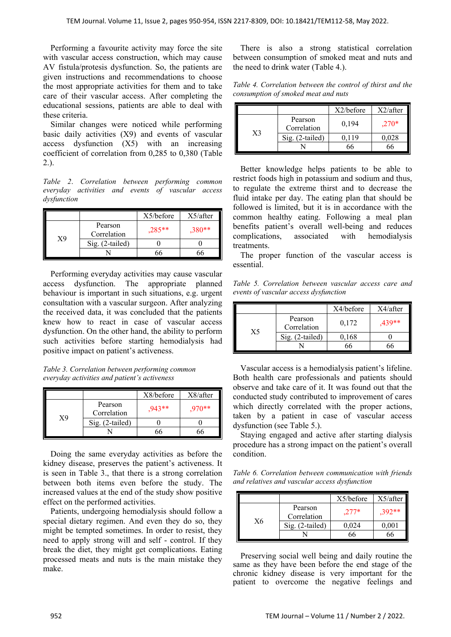Performing a favourite activity may force the site with vascular access construction, which may cause AV fistula/protesis dysfunction. So, the patients are given instructions and recommendations to choose the most appropriate activities for them and to take care of their vascular access. After completing the educational sessions, patients are able to deal with these criteria.

Similar changes were noticed while performing basic daily activities (Х9) and events of vascular access dysfunction (Х5) with an increasing coefficient of correlation from 0,285 to 0,380 (Table 2.).

*Table 2*. *Correlation between performing common everyday activities and events of vascular access dysfunction* 

|    |                        | $X5/bef$ ore | X5/after |
|----|------------------------|--------------|----------|
| Х9 | Pearson<br>Correlation | $,285**$     | $,380**$ |
|    | $Sig. (2-tailed)$      |              |          |
|    |                        |              |          |

Performing everyday activities may cause vascular access dysfunction. The appropriate planned behaviour is important in such situations, e.g. urgent consultation with a vascular surgeon. After analyzing the received data, it was concluded that the patients knew how to react in case of vascular access dysfunction. On the other hand, the ability to perform such activities before starting hemodialysis had positive impact on patient's activeness.

*Table 3. Correlation between performing common everyday activities and patient's activeness* 

|    |                        | X8/before | X8/after |
|----|------------------------|-----------|----------|
| Х9 | Pearson<br>Correlation | $.943**$  | $,970**$ |
|    | Sig. (2-tailed)        |           |          |
|    |                        |           |          |

Doing the same everyday activities as before the kidney disease, preserves the patient's activeness. It is seen in Table 3., that there is a strong correlation between both items even before the study. The increased values at the end of the study show positive effect on the performed activities.

Patients, undergoing hemodialysis should follow a special dietary regimen. And even they do so, they might be tempted sometimes. In order to resist, they need to apply strong will and self - control. If they break the diet, they might get complications. Eating processed meats and nuts is the main mistake they make.

There is also a strong statistical correlation between consumption of smoked meat and nuts and the need to drink water (Table 4.).

*Table 4. Correlation between the control of thirst and the consumption of smoked meat and nuts* 

|                |                        | X2/before | $X2/a$ fter |
|----------------|------------------------|-----------|-------------|
| X <sub>3</sub> | Pearson<br>Correlation | 0,194     | $.270*$     |
|                | $Sig. (2-tailed)$      | ).119     | 0.028       |
|                |                        |           |             |

Better knowledge helps patients to be able to restrict foods high in potassium and sodium and thus, to regulate the extreme thirst and to decrease the fluid intake per day. The eating plan that should be followed is limited, but it is in accordance with the common healthy eating. Following a meal plan benefits patient's overall well-being and reduces complications, associated with hemodialysis treatments.

The proper function of the vascular access is essential.

*Table 5. Correlation between vascular access care and events of vascular access dysfunction* 

|    |                        | X4/before | $X4$ /after |
|----|------------------------|-----------|-------------|
| X5 | Pearson<br>Correlation | 0,172     | $,439**$    |
|    | $Sig. (2-tailed)$      | 0,168     |             |
|    |                        |           |             |

Vascular access is a hemodialysis patient's lifeline. Both health care professionals and patients should observe and take care of it. It was found out that the conducted study contributed to improvement of cares which directly correlated with the proper actions, taken by a patient in case of vascular access dysfunction (see Table 5.).

Staying engaged and active after starting dialysis procedure has a strong impact on the patient's overall condition.

*Table 6. Correlation between communication with friends and relatives and vascular access dysfunction* 

|    |                        | $X5/bef$ ore | X5/after |
|----|------------------------|--------------|----------|
| X6 | Pearson<br>Correlation | $.277*$      | $.392**$ |
|    | Sig. (2-tailed)        | 0.024        | 0,001    |
|    |                        |              |          |

Preserving social well being and daily routine the same as they have been before the end stage of the chronic kidney disease is very important for the patient to overcome the negative feelings and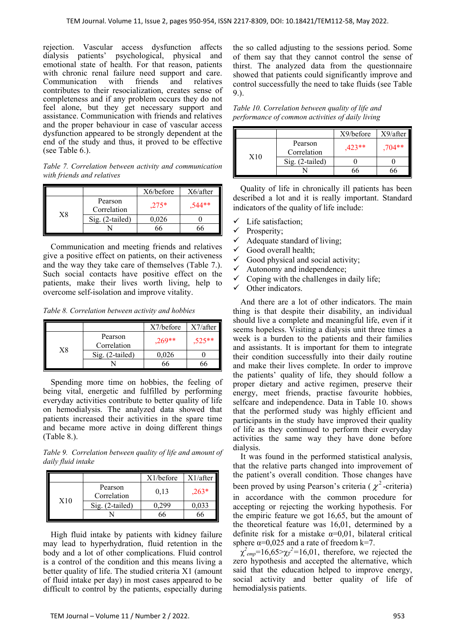rejection. Vascular access dysfunction affects dialysis patients' psychological, physical and emotional state of health. For that reason, patients with chronic renal failure need support and care. Communication with friends and relatives contributes to their resocialization, creates sense of completeness and if any problem occurs they do not feel alone, but they get necessary support and assistance. Communication with friends and relatives and the proper behaviour in case of vascular access dysfunction appeared to be strongly dependent at the end of the study and thus, it proved to be effective (see Table 6.).

*Table 7. Correlation between activity and communication with friends and relatives* 

|    |                        | X6/before | X6/after |
|----|------------------------|-----------|----------|
| X8 | Pearson<br>Correlation | $.275*$   | $.544**$ |
|    | Sig. (2-tailed)        | 0,026     |          |
|    |                        |           |          |

Communication and meeting friends and relatives give a positive effect on patients, on their activeness and the way they take care of themselves (Table 7.). Such social contacts have positive effect on the patients, make their lives worth living, help to overcome self-isolation and improve vitality.

*Table 8. Correlation between activity and hobbies* 

|               |                        | X7/before | X7/after |
|---------------|------------------------|-----------|----------|
| $\mathrm{X}8$ | Pearson<br>Correlation | $.269**$  | $.525**$ |
|               | Sig. (2-tailed)        | 0.026     |          |
|               |                        |           |          |

Spending more time on hobbies, the feeling of being vital, energetic and fulfilled by performing everyday activities contribute to better quality of life on hemodialysis. The analyzed data showed that patients increased their activities in the spare time and became more active in doing different things (Table 8.).

*Table 9. Correlation between quality of life and amount of daily fluid intake* 

|     |                        | $X1/bef$ ore | $X1/a$ fter |
|-----|------------------------|--------------|-------------|
| X10 | Pearson<br>Correlation | 0,13         | $,263*$     |
|     | Sig. (2-tailed)        | 0.299        | 0,033       |
|     |                        |              |             |

High fluid intake by patients with kidney failure may lead to hyperhydration, fluid retention in the body and a lot of other complications. Fluid control is a control of the condition and this means living a better quality of life. The studied criteria X1 (amount of fluid intake per day) in most cases appeared to be difficult to control by the patients, especially during the so called adjusting to the sessions period. Some of them say that they cannot control the sense of thirst. The analyzed data from the questionnaire showed that patients could significantly improve and control successfully the need to take fluids (see Table 9.).

*Table 10. Correlation between quality of life and performance of common activities of daily living* 

|     |                        | X9/before | X9/after |
|-----|------------------------|-----------|----------|
| X10 | Pearson<br>Correlation | $.423**$  | $.704**$ |
|     | $Sig. (2-tailed)$      |           |          |
|     |                        |           |          |

Quality of life in chronically ill patients has been described a lot and it is really important. Standard indicators of the quality of life include:

- Life satisfaction;
- $\checkmark$  Prosperity;
- $\checkmark$  Adequate standard of living;
- $\checkmark$  Good overall health;
- $\checkmark$  Good physical and social activity;
- $\checkmark$  Autonomy and independence;
- $\checkmark$  Coping with the challenges in daily life;
- $\checkmark$  Other indicators.

And there are a lot of other indicators. The main thing is that despite their disability, an individual should live a complete and meaningful life, even if it seems hopeless. Visiting a dialysis unit three times a week is a burdеn to the patients and their families and assistants. It is important for them to integrate their condition successfully into their daily routine and make their lives complete. In order to improve the patients' quality of life, they should follow a proper dietary and active regimen, preserve their energy, meet friends, practise favourite hobbies, selfcare and independence. Data in Table 10. shows that the performed study was highly efficient and participants in the study have improved their quality of life as they continued to perform their everyday activities the same way they have done before dialysis.

It was found in the performed statistical analysis, that the relative parts changed into improvement of the patient's overall condition. Those changes have been proved by using Pearson's criteria ( $\chi^2$ -criteria) in accordance with the common procedure for accepting or rejecting the working hypothesis. For the empiric feature we got 16,65, but the amount of the theoretical feature was 16,01, determined by a definite risk for a mistake  $\alpha=0.01$ , bilateral critical sphere  $\alpha$ =0,025 and a rate of freedom k=7.

 $\chi^2_{emp}$ =16,65> $\chi_T^2$ =16,01, therefore, we rejected the zero hypothesis and accepted the alternative, which said that the education helped to improve energy, social activity and better quality of life of hemodialysis patients.